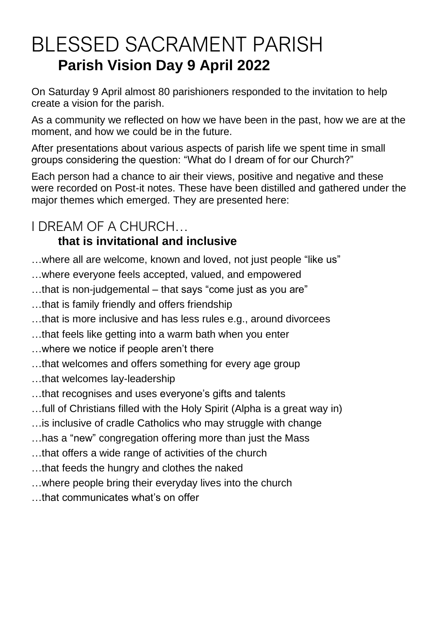# BLESSED SACRAMENT PARISH **Parish Vision Day 9 April 2022**

On Saturday 9 April almost 80 parishioners responded to the invitation to help create a vision for the parish.

As a community we reflected on how we have been in the past, how we are at the moment, and how we could be in the future.

After presentations about various aspects of parish life we spent time in small groups considering the question: "What do I dream of for our Church?"

Each person had a chance to air their views, positive and negative and these were recorded on Post-it notes. These have been distilled and gathered under the major themes which emerged. They are presented here:

# I DREAM OF A CHURCH…

### **that is invitational and inclusive**

- …where all are welcome, known and loved, not just people "like us"
- …where everyone feels accepted, valued, and empowered
- …that is non-judgemental that says "come just as you are"
- …that is family friendly and offers friendship
- …that is more inclusive and has less rules e.g., around divorcees
- …that feels like getting into a warm bath when you enter
- …where we notice if people aren't there
- …that welcomes and offers something for every age group
- …that welcomes lay-leadership
- …that recognises and uses everyone's gifts and talents
- …full of Christians filled with the Holy Spirit (Alpha is a great way in)
- …is inclusive of cradle Catholics who may struggle with change
- …has a "new" congregation offering more than just the Mass
- …that offers a wide range of activities of the church
- …that feeds the hungry and clothes the naked
- …where people bring their everyday lives into the church
- …that communicates what's on offer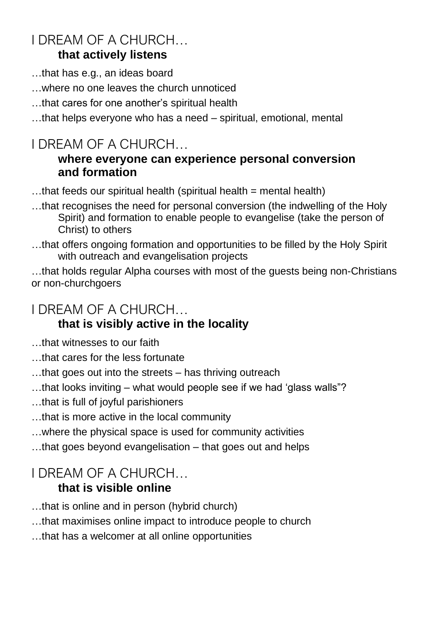### I DREAM OF A CHURCH… **that actively listens**

- …that has e.g., an ideas board
- …where no one leaves the church unnoticed
- …that cares for one another's spiritual health
- …that helps everyone who has a need spiritual, emotional, mental

## I DREAM OF A CHURCH…

#### **where everyone can experience personal conversion and formation**

- $...$ that feeds our spiritual health (spiritual health = mental health)
- …that recognises the need for personal conversion (the indwelling of the Holy Spirit) and formation to enable people to evangelise (take the person of Christ) to others
- …that offers ongoing formation and opportunities to be filled by the Holy Spirit with outreach and evangelisation projects

…that holds regular Alpha courses with most of the guests being non-Christians or non-churchgoers

### I DREAM OF A CHURCH…

### **that is visibly active in the locality**

- …that witnesses to our faith
- …that cares for the less fortunate
- …that goes out into the streets has thriving outreach
- …that looks inviting what would people see if we had 'glass walls"?
- …that is full of joyful parishioners
- …that is more active in the local community
- …where the physical space is used for community activities
- …that goes beyond evangelisation that goes out and helps

# I DREAM OF A CHURCH…

#### **that is visible online**

- …that is online and in person (hybrid church)
- …that maximises online impact to introduce people to church
- …that has a welcomer at all online opportunities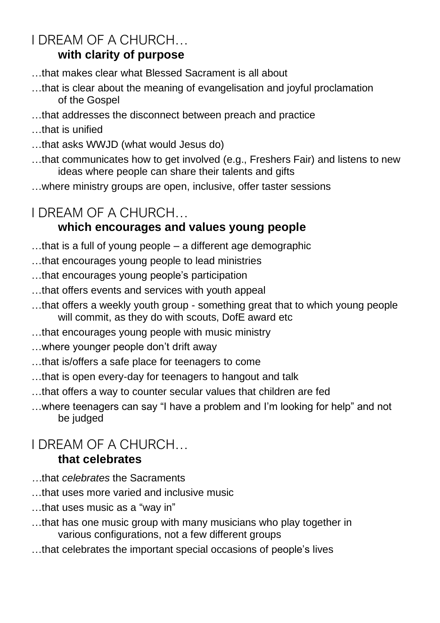### I DREAM OF A CHURCH… **with clarity of purpose**

- …that makes clear what Blessed Sacrament is all about
- …that is clear about the meaning of evangelisation and joyful proclamation of the Gospel
- …that addresses the disconnect between preach and practice
- …that is unified
- …that asks WWJD (what would Jesus do)
- …that communicates how to get involved (e.g., Freshers Fair) and listens to new ideas where people can share their talents and gifts
- …where ministry groups are open, inclusive, offer taster sessions

# I DREAM OF A CHURCH…

### **which encourages and values young people**

- …that is a full of young people a different age demographic
- …that encourages young people to lead ministries
- …that encourages young people's participation
- …that offers events and services with youth appeal
- …that offers a weekly youth group something great that to which young people will commit, as they do with scouts, DofE award etc
- …that encourages young people with music ministry
- …where younger people don't drift away
- …that is/offers a safe place for teenagers to come
- …that is open every-day for teenagers to hangout and talk
- …that offers a way to counter secular values that children are fed
- …where teenagers can say "I have a problem and I'm looking for help" and not be judged

# I DREAM OF A CHURCH…

#### **that celebrates**

- *…*that *celebrates* the Sacraments
- …that uses more varied and inclusive music
- …that uses music as a "way in"
- …that has one music group with many musicians who play together in various configurations, not a few different groups
- …that celebrates the important special occasions of people's lives